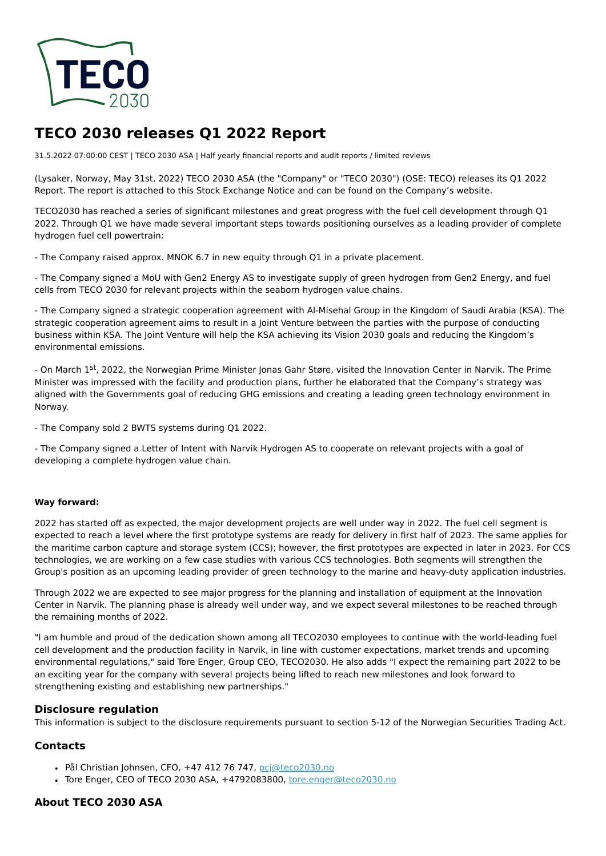

# **TECO 2030 releases Q1 2022 Report**

31.5.2022 07:00:00 CEST | TECO 2030 ASA | Half yearly financial reports and audit reports / limited reviews

(Lysaker, Norway, May 31st, 2022) TECO 2030 ASA (the "Company" or "TECO 2030") (OSE: TECO) releases its Q1 2022 Report. The report is attached to this Stock Exchange Notice and can be found on the Company's website.

TECO2030 has reached a series of significant milestones and great progress with the fuel cell development through Q1 2022. Through Q1 we have made several important steps towards positioning ourselves as a leading provider of complete hydrogen fuel cell powertrain:

- The Company raised approx. MNOK 6.7 in new equity through Q1 in a private placement.

- The Company signed a MoU with Gen2 Energy AS to investigate supply of green hydrogen from Gen2 Energy, and fuel cells from TECO 2030 for relevant projects within the seaborn hydrogen value chains.

- The Company signed a strategic cooperation agreement with Al-Misehal Group in the Kingdom of Saudi Arabia (KSA). The strategic cooperation agreement aims to result in a Joint Venture between the parties with the purpose of conducting business within KSA. The Joint Venture will help the KSA achieving its Vision 2030 goals and reducing the Kingdom's environmental emissions.

- On March 1st, 2022, the Norwegian Prime Minister Jonas Gahr Støre, visited the Innovation Center in Narvik. The Prime Minister was impressed with the facility and production plans, further he elaborated that the Company's strategy was aligned with the Governments goal of reducing GHG emissions and creating a leading green technology environment in Norway.

- The Company sold 2 BWTS systems during Q1 2022.

- The Company signed a Letter of Intent with Narvik Hydrogen AS to cooperate on relevant projects with a goal of developing a complete hydrogen value chain.

#### **Way forward:**

2022 has started off as expected, the major development projects are well under way in 2022. The fuel cell segment is expected to reach a level where the first prototype systems are ready for delivery in first half of 2023. The same applies for the maritime carbon capture and storage system (CCS); however, the first prototypes are expected in later in 2023. For CCS technologies, we are working on a few case studies with various CCS technologies. Both segments will strengthen the Group's position as an upcoming leading provider of green technology to the marine and heavy-duty application industries.

Through 2022 we are expected to see major progress for the planning and installation of equipment at the Innovation Center in Narvik. The planning phase is already well under way, and we expect several milestones to be reached through the remaining months of 2022.

"I am humble and proud of the dedication shown among all TECO2030 employees to continue with the world-leading fuel cell development and the production facility in Narvik, in line with customer expectations, market trends and upcoming environmental regulations," said Tore Enger, Group CEO, TECO2030. He also adds "I expect the remaining part 2022 to be an exciting year for the company with several projects being lifted to reach new milestones and look forward to strengthening existing and establishing new partnerships."

### **Disclosure regulation**

This information is subject to the disclosure requirements pursuant to section 5-12 of the Norwegian Securities Trading Act.

### **Contacts**

- · Pål Christian Johnsen, CFO, +47 412 76 747, [pcj@teco2030.no](mailto:pcj@teco2030.no)
- Tore Enger, CEO of TECO 2030 ASA, +4792083800, [tore.enger@teco2030.no](mailto:tore.enger@teco2030.no)

### **About TECO 2030 ASA**